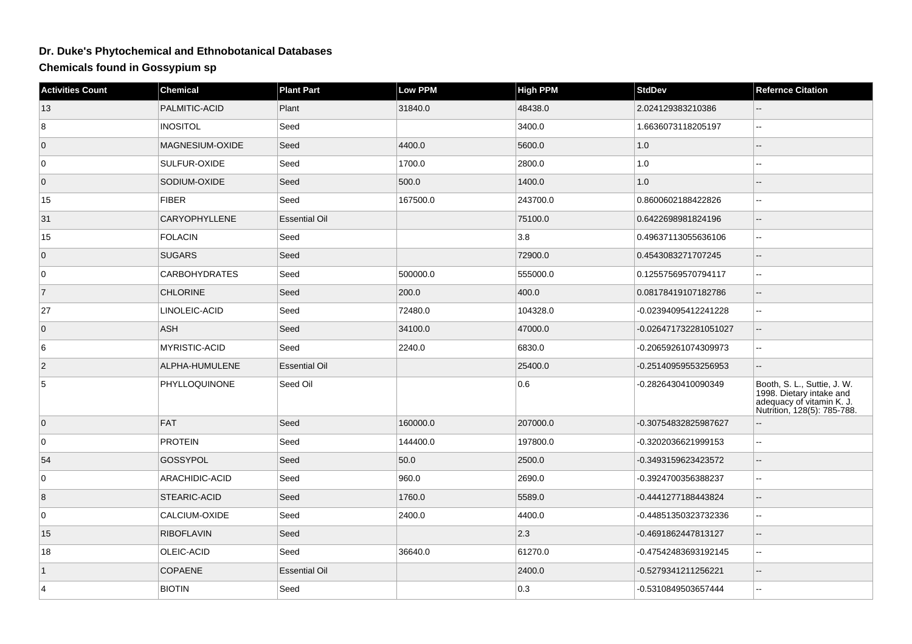## **Dr. Duke's Phytochemical and Ethnobotanical Databases**

**Chemicals found in Gossypium sp**

| <b>Activities Count</b> | <b>Chemical</b>      | <b>Plant Part</b>    | Low PPM  | <b>High PPM</b> | <b>StdDev</b>         | <b>Refernce Citation</b>                                                                                            |
|-------------------------|----------------------|----------------------|----------|-----------------|-----------------------|---------------------------------------------------------------------------------------------------------------------|
| 13                      | PALMITIC-ACID        | Plant                | 31840.0  | 48438.0         | 2.024129383210386     |                                                                                                                     |
| 8                       | <b>INOSITOL</b>      | Seed                 |          | 3400.0          | 1.6636073118205197    | .,                                                                                                                  |
| $\mathsf 0$             | MAGNESIUM-OXIDE      | Seed                 | 4400.0   | 5600.0          | 1.0                   | $-$                                                                                                                 |
| $\overline{0}$          | SULFUR-OXIDE         | Seed                 | 1700.0   | 2800.0          | 1.0                   | ۵.                                                                                                                  |
| $\overline{0}$          | SODIUM-OXIDE         | Seed                 | 500.0    | 1400.0          | 1.0                   | $-$                                                                                                                 |
| 15                      | <b>FIBER</b>         | Seed                 | 167500.0 | 243700.0        | 0.8600602188422826    | Щ,                                                                                                                  |
| 31                      | CARYOPHYLLENE        | <b>Essential Oil</b> |          | 75100.0         | 0.6422698981824196    | ш,                                                                                                                  |
| 15                      | <b>FOLACIN</b>       | Seed                 |          | 3.8             | 0.49637113055636106   | $\overline{a}$                                                                                                      |
| $\overline{0}$          | <b>SUGARS</b>        | Seed                 |          | 72900.0         | 0.4543083271707245    |                                                                                                                     |
| $\overline{0}$          | <b>CARBOHYDRATES</b> | Seed                 | 500000.0 | 555000.0        | 0.12557569570794117   | Ξ.                                                                                                                  |
| $\overline{7}$          | <b>CHLORINE</b>      | Seed                 | 200.0    | 400.0           | 0.08178419107182786   | $\overline{a}$                                                                                                      |
| 27                      | LINOLEIC-ACID        | Seed                 | 72480.0  | 104328.0        | -0.02394095412241228  |                                                                                                                     |
| $\overline{0}$          | <b>ASH</b>           | Seed                 | 34100.0  | 47000.0         | -0.026471732281051027 | $\qquad \qquad -$                                                                                                   |
| 6                       | <b>MYRISTIC-ACID</b> | Seed                 | 2240.0   | 6830.0          | -0.20659261074309973  | цц.                                                                                                                 |
| 2                       | ALPHA-HUMULENE       | <b>Essential Oil</b> |          | 25400.0         | -0.25140959553256953  |                                                                                                                     |
| 5                       | PHYLLOQUINONE        | Seed Oil             |          | 0.6             | -0.2826430410090349   | Booth, S. L., Suttie, J. W.<br>1998. Dietary intake and<br>adequacy of vitamin K. J.<br>Nutrition, 128(5): 785-788. |
| $\overline{0}$          | <b>FAT</b>           | Seed                 | 160000.0 | 207000.0        | -0.30754832825987627  |                                                                                                                     |
| $\overline{0}$          | <b>PROTEIN</b>       | Seed                 | 144400.0 | 197800.0        | -0.3202036621999153   | .,                                                                                                                  |
| 54                      | <b>GOSSYPOL</b>      | Seed                 | 50.0     | 2500.0          | -0.3493159623423572   | $-$                                                                                                                 |
| $\overline{0}$          | ARACHIDIC-ACID       | Seed                 | 960.0    | 2690.0          | -0.3924700356388237   | шш.                                                                                                                 |
| 8                       | STEARIC-ACID         | Seed                 | 1760.0   | 5589.0          | -0.4441277188443824   | $-$                                                                                                                 |
| $\overline{0}$          | CALCIUM-OXIDE        | Seed                 | 2400.0   | 4400.0          | -0.44851350323732336  | ц,                                                                                                                  |
| 15                      | <b>RIBOFLAVIN</b>    | Seed                 |          | $ 2.3\rangle$   | -0.4691862447813127   | --                                                                                                                  |
| 18                      | OLEIC-ACID           | Seed                 | 36640.0  | 61270.0         | -0.47542483693192145  | Ξ.                                                                                                                  |
| $\vert$ 1               | <b>COPAENE</b>       | <b>Essential Oil</b> |          | 2400.0          | -0.5279341211256221   | $\qquad \qquad -$                                                                                                   |
| $\overline{4}$          | <b>BIOTIN</b>        | Seed                 |          | 0.3             | -0.5310849503657444   | Щ,                                                                                                                  |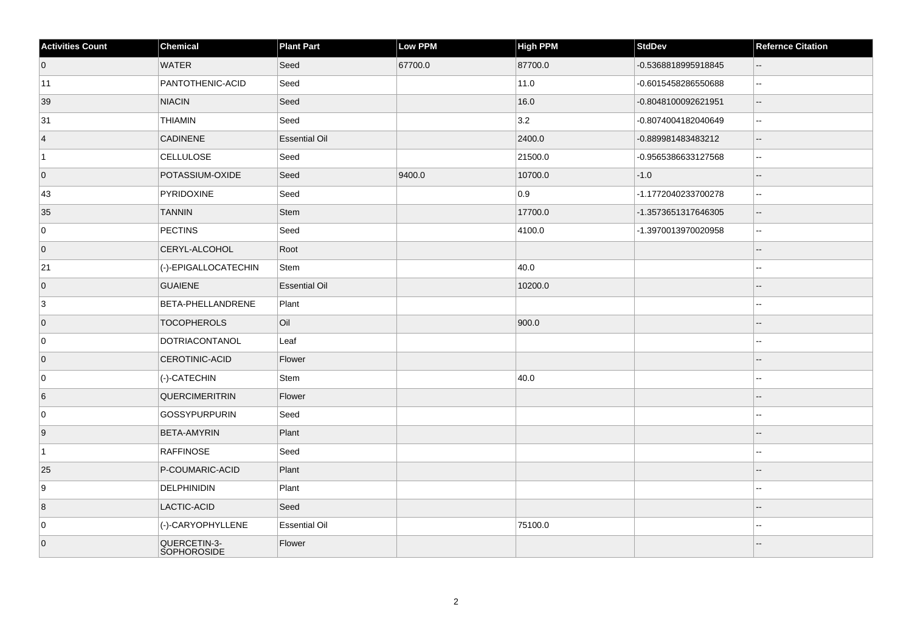| <b>Activities Count</b> | Chemical                    | <b>Plant Part</b>    | <b>Low PPM</b> | High PPM | <b>StdDev</b>       | <b>Refernce Citation</b> |
|-------------------------|-----------------------------|----------------------|----------------|----------|---------------------|--------------------------|
| $\overline{0}$          | <b>WATER</b>                | Seed                 | 67700.0        | 87700.0  | -0.5368818995918845 | $\overline{\phantom{a}}$ |
| 11                      | PANTOTHENIC-ACID            | Seed                 |                | 11.0     | -0.6015458286550688 | $\mathbf{u}$             |
| 39                      | <b>NIACIN</b>               | Seed                 |                | 16.0     | -0.8048100092621951 | $\overline{\phantom{a}}$ |
| 31                      | <b>THIAMIN</b>              | Seed                 |                | 3.2      | -0.8074004182040649 | $-$                      |
| $\vert$ 4               | <b>CADINENE</b>             | <b>Essential Oil</b> |                | 2400.0   | -0.889981483483212  | $\overline{\phantom{a}}$ |
| $\vert$ 1               | CELLULOSE                   | Seed                 |                | 21500.0  | -0.9565386633127568 | $\sim$                   |
| $\overline{0}$          | POTASSIUM-OXIDE             | Seed                 | 9400.0         | 10700.0  | $-1.0$              | $\overline{\phantom{a}}$ |
| 43                      | PYRIDOXINE                  | Seed                 |                | 0.9      | -1.1772040233700278 | $\sim$                   |
| 35                      | <b>TANNIN</b>               | Stem                 |                | 17700.0  | -1.3573651317646305 | $\overline{\phantom{a}}$ |
| 0                       | PECTINS                     | Seed                 |                | 4100.0   | -1.3970013970020958 | $\ddotsc$                |
| $\overline{0}$          | CERYL-ALCOHOL               | Root                 |                |          |                     | $\overline{\phantom{a}}$ |
| 21                      | (-)-EPIGALLOCATECHIN        | Stem                 |                | 40.0     |                     |                          |
| $\overline{0}$          | <b>GUAIENE</b>              | <b>Essential Oil</b> |                | 10200.0  |                     |                          |
| 3                       | BETA-PHELLANDRENE           | Plant                |                |          |                     | $\sim$                   |
| $\overline{0}$          | <b>TOCOPHEROLS</b>          | Oil                  |                | 900.0    |                     |                          |
| 0                       | DOTRIACONTANOL              | Leaf                 |                |          |                     | $\sim$                   |
| $\overline{0}$          | CEROTINIC-ACID              | Flower               |                |          |                     | $-$                      |
| 0                       | (-)-CATECHIN                | Stem                 |                | 40.0     |                     |                          |
| 6                       | QUERCIMERITRIN              | Flower               |                |          |                     |                          |
| 0                       | <b>GOSSYPURPURIN</b>        | Seed                 |                |          |                     |                          |
| 9                       | <b>BETA-AMYRIN</b>          | Plant                |                |          |                     |                          |
| $\vert$ 1               | <b>RAFFINOSE</b>            | Seed                 |                |          |                     |                          |
| 25                      | P-COUMARIC-ACID             | Plant                |                |          |                     |                          |
| 9                       | DELPHINIDIN                 | Plant                |                |          |                     |                          |
| 8                       | LACTIC-ACID                 | Seed                 |                |          |                     |                          |
| 0                       | (-)-CARYOPHYLLENE           | <b>Essential Oil</b> |                | 75100.0  |                     |                          |
| $\overline{0}$          | QUERCETIN-3-<br>SOPHOROSIDE | Flower               |                |          |                     |                          |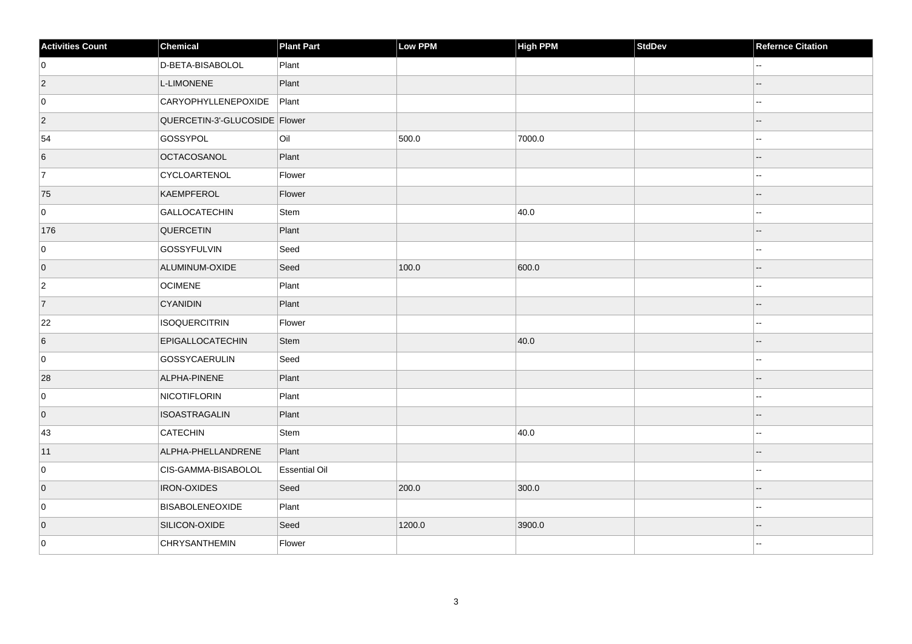| <b>Activities Count</b> | Chemical                      | <b>Plant Part</b>    | Low PPM | High PPM | <b>StdDev</b> | <b>Refernce Citation</b> |
|-------------------------|-------------------------------|----------------------|---------|----------|---------------|--------------------------|
| 0                       | D-BETA-BISABOLOL              | Plant                |         |          |               |                          |
| $ 2\rangle$             | L-LIMONENE                    | Plant                |         |          |               | --                       |
| 0                       | <b>CARYOPHYLLENEPOXIDE</b>    | Plant                |         |          |               |                          |
| $ 2\rangle$             | QUERCETIN-3'-GLUCOSIDE Flower |                      |         |          |               |                          |
| 54                      | GOSSYPOL                      | Oil                  | 500.0   | 7000.0   |               | ۵.                       |
| 6                       | OCTACOSANOL                   | Plant                |         |          |               |                          |
| 7                       | CYCLOARTENOL                  | Flower               |         |          |               |                          |
| 75                      | KAEMPFEROL                    | Flower               |         |          |               |                          |
| 0                       | GALLOCATECHIN                 | Stem                 |         | 40.0     |               |                          |
| 176                     | QUERCETIN                     | Plant                |         |          |               |                          |
| 0                       | GOSSYFULVIN                   | Seed                 |         |          |               | ۵.                       |
| $\overline{0}$          | ALUMINUM-OXIDE                | Seed                 | 100.0   | 600.0    |               |                          |
| $\overline{2}$          | <b>OCIMENE</b>                | Plant                |         |          |               | --                       |
| 7                       | <b>CYANIDIN</b>               | Plant                |         |          |               |                          |
| 22                      | ISOQUERCITRIN                 | Flower               |         |          |               |                          |
| $6\overline{6}$         | EPIGALLOCATECHIN              | Stem                 |         | 40.0     |               |                          |
| 0                       | GOSSYCAERULIN                 | Seed                 |         |          |               | --                       |
| 28                      | ALPHA-PINENE                  | Plant                |         |          |               |                          |
| 0                       | NICOTIFLORIN                  | Plant                |         |          |               | --                       |
| $\overline{0}$          | <b>ISOASTRAGALIN</b>          | Plant                |         |          |               |                          |
| 43                      | CATECHIN                      | Stem                 |         | 40.0     |               |                          |
| 11                      | ALPHA-PHELLANDRENE            | Plant                |         |          |               |                          |
| 0                       | CIS-GAMMA-BISABOLOL           | <b>Essential Oil</b> |         |          |               |                          |
| $\overline{0}$          | <b>IRON-OXIDES</b>            | Seed                 | 200.0   | 300.0    |               |                          |
| 0                       | BISABOLENEOXIDE               | Plant                |         |          |               |                          |
| $\overline{0}$          | SILICON-OXIDE                 | Seed                 | 1200.0  | 3900.0   |               |                          |
| 0                       | CHRYSANTHEMIN                 | Flower               |         |          |               |                          |